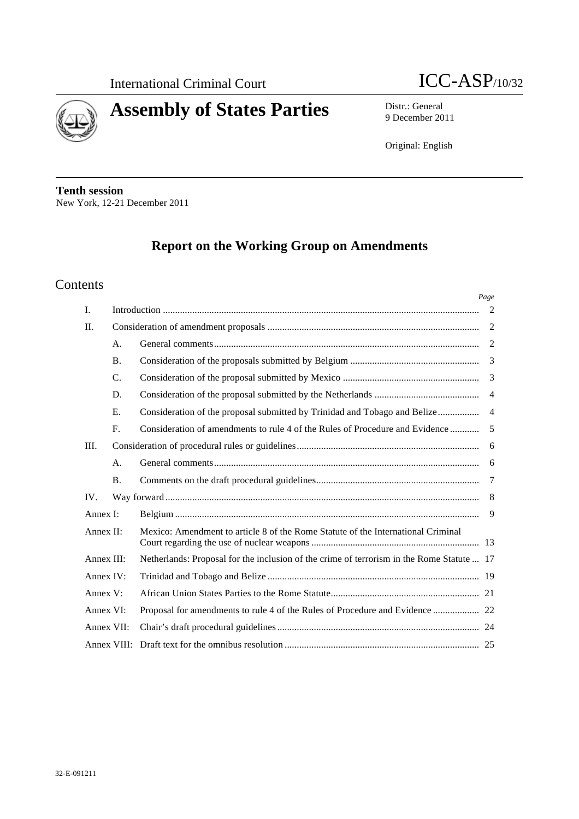

*Page*



# **Assembly of States Parties** Distr.: General

9 December 2011

Original: English

**Tenth session** New York, 12-21 December 2011

# **Report on the Working Group on Amendments**

# Contents

| I.<br>II.<br>A.<br><b>B.</b><br>C.                                                                      | 2<br>2<br>3    |
|---------------------------------------------------------------------------------------------------------|----------------|
|                                                                                                         |                |
|                                                                                                         |                |
|                                                                                                         |                |
|                                                                                                         |                |
|                                                                                                         |                |
| D.                                                                                                      | $\overline{4}$ |
| E.<br>Consideration of the proposal submitted by Trinidad and Tobago and Belize                         | $\overline{4}$ |
| $F_{\cdot}$<br>Consideration of amendments to rule 4 of the Rules of Procedure and Evidence             | 5              |
| III.                                                                                                    | 6              |
| A.                                                                                                      | -6             |
| <b>B.</b>                                                                                               | 7              |
| IV.                                                                                                     | -8             |
| Annex I:                                                                                                | 9              |
| Annex II:<br>Mexico: Amendment to article 8 of the Rome Statute of the International Criminal           |                |
| Annex III:<br>Netherlands: Proposal for the inclusion of the crime of terrorism in the Rome Statute  17 |                |
| Annex IV:                                                                                               |                |
| Annex $V$ :                                                                                             |                |
| Annex VI:                                                                                               |                |
| Annex VII:                                                                                              |                |
|                                                                                                         |                |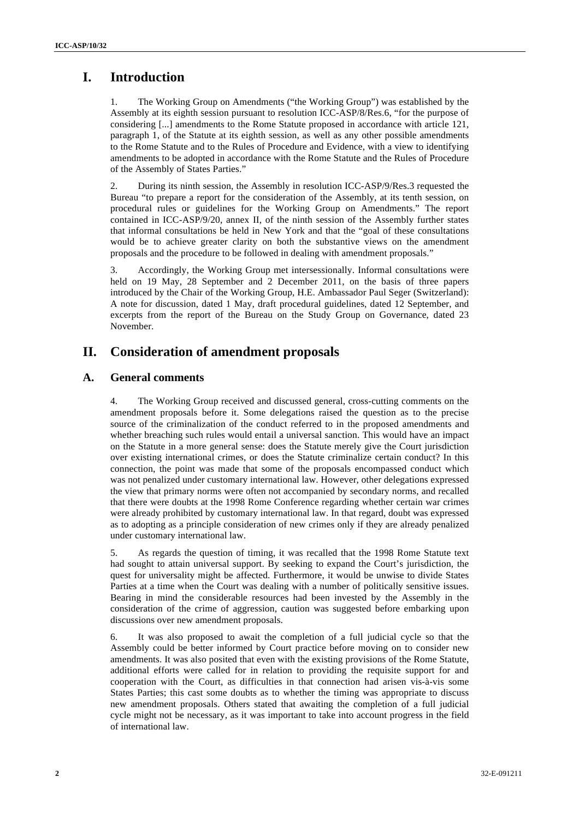# **I. Introduction**

1. The Working Group on Amendments ("the Working Group") was established by the Assembly at its eighth session pursuant to resolution ICC-ASP/8/Res.6, "for the purpose of considering [...] amendments to the Rome Statute proposed in accordance with article 121, paragraph 1, of the Statute at its eighth session, as well as any other possible amendments to the Rome Statute and to the Rules of Procedure and Evidence, with a view to identifying amendments to be adopted in accordance with the Rome Statute and the Rules of Procedure of the Assembly of States Parties."

2. During its ninth session, the Assembly in resolution ICC-ASP/9/Res.3 requested the Bureau "to prepare a report for the consideration of the Assembly, at its tenth session, on procedural rules or guidelines for the Working Group on Amendments." The report contained in ICC-ASP/9/20, annex II, of the ninth session of the Assembly further states that informal consultations be held in New York and that the "goal of these consultations would be to achieve greater clarity on both the substantive views on the amendment proposals and the procedure to be followed in dealing with amendment proposals."

3. Accordingly, the Working Group met intersessionally. Informal consultations were held on 19 May, 28 September and 2 December 2011, on the basis of three papers introduced by the Chair of the Working Group, H.E. Ambassador Paul Seger (Switzerland): A note for discussion, dated 1 May, draft procedural guidelines, dated 12 September, and excerpts from the report of the Bureau on the Study Group on Governance, dated 23 November.

# **II. Consideration of amendment proposals**

### **A. General comments**

4. The Working Group received and discussed general, cross-cutting comments on the amendment proposals before it. Some delegations raised the question as to the precise source of the criminalization of the conduct referred to in the proposed amendments and whether breaching such rules would entail a universal sanction. This would have an impact on the Statute in a more general sense: does the Statute merely give the Court jurisdiction over existing international crimes, or does the Statute criminalize certain conduct? In this connection, the point was made that some of the proposals encompassed conduct which was not penalized under customary international law. However, other delegations expressed the view that primary norms were often not accompanied by secondary norms, and recalled that there were doubts at the 1998 Rome Conference regarding whether certain war crimes were already prohibited by customary international law. In that regard, doubt was expressed as to adopting as a principle consideration of new crimes only if they are already penalized under customary international law.

5. As regards the question of timing, it was recalled that the 1998 Rome Statute text had sought to attain universal support. By seeking to expand the Court's jurisdiction, the quest for universality might be affected. Furthermore, it would be unwise to divide States Parties at a time when the Court was dealing with a number of politically sensitive issues. Bearing in mind the considerable resources had been invested by the Assembly in the consideration of the crime of aggression, caution was suggested before embarking upon discussions over new amendment proposals.

6. It was also proposed to await the completion of a full judicial cycle so that the Assembly could be better informed by Court practice before moving on to consider new amendments. It was also posited that even with the existing provisions of the Rome Statute, additional efforts were called for in relation to providing the requisite support for and cooperation with the Court, as difficulties in that connection had arisen vis-à-vis some States Parties; this cast some doubts as to whether the timing was appropriate to discuss new amendment proposals. Others stated that awaiting the completion of a full judicial cycle might not be necessary, as it was important to take into account progress in the field of international law.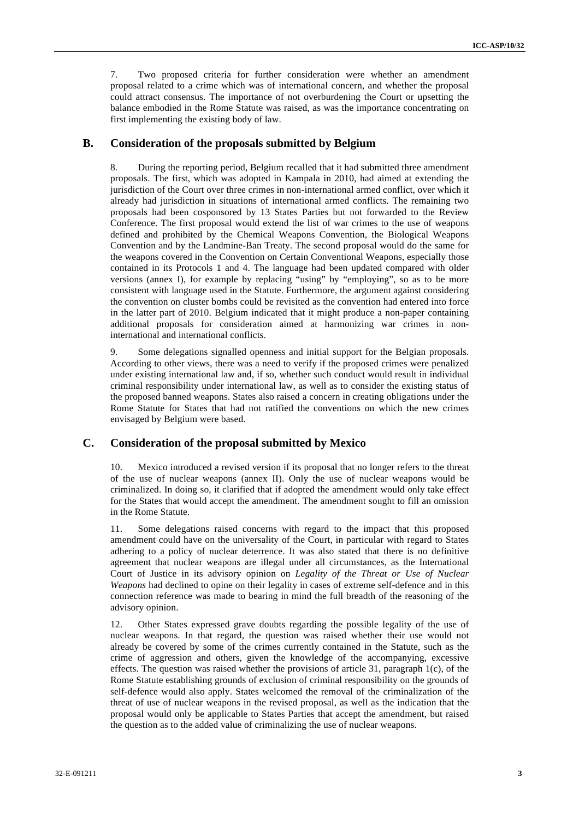7. Two proposed criteria for further consideration were whether an amendment proposal related to a crime which was of international concern, and whether the proposal could attract consensus. The importance of not overburdening the Court or upsetting the balance embodied in the Rome Statute was raised, as was the importance concentrating on first implementing the existing body of law.

#### **B. Consideration of the proposals submitted by Belgium**

8. During the reporting period, Belgium recalled that it had submitted three amendment proposals. The first, which was adopted in Kampala in 2010, had aimed at extending the jurisdiction of the Court over three crimes in non-international armed conflict, over which it already had jurisdiction in situations of international armed conflicts. The remaining two proposals had been cosponsored by 13 States Parties but not forwarded to the Review Conference. The first proposal would extend the list of war crimes to the use of weapons defined and prohibited by the Chemical Weapons Convention, the Biological Weapons Convention and by the Landmine-Ban Treaty. The second proposal would do the same for the weapons covered in the Convention on Certain Conventional Weapons, especially those contained in its Protocols 1 and 4. The language had been updated compared with older versions (annex I), for example by replacing "using" by "employing", so as to be more consistent with language used in the Statute. Furthermore, the argument against considering the convention on cluster bombs could be revisited as the convention had entered into force in the latter part of 2010. Belgium indicated that it might produce a non-paper containing additional proposals for consideration aimed at harmonizing war crimes in noninternational and international conflicts.

9. Some delegations signalled openness and initial support for the Belgian proposals. According to other views, there was a need to verify if the proposed crimes were penalized under existing international law and, if so, whether such conduct would result in individual criminal responsibility under international law, as well as to consider the existing status of the proposed banned weapons. States also raised a concern in creating obligations under the Rome Statute for States that had not ratified the conventions on which the new crimes envisaged by Belgium were based.

### **C. Consideration of the proposal submitted by Mexico**

10. Mexico introduced a revised version if its proposal that no longer refers to the threat of the use of nuclear weapons (annex II). Only the use of nuclear weapons would be criminalized. In doing so, it clarified that if adopted the amendment would only take effect for the States that would accept the amendment. The amendment sought to fill an omission in the Rome Statute.

11. Some delegations raised concerns with regard to the impact that this proposed amendment could have on the universality of the Court, in particular with regard to States adhering to a policy of nuclear deterrence. It was also stated that there is no definitive agreement that nuclear weapons are illegal under all circumstances, as the International Court of Justice in its advisory opinion on *Legality of the Threat or Use of Nuclear Weapons* had declined to opine on their legality in cases of extreme self-defence and in this connection reference was made to bearing in mind the full breadth of the reasoning of the advisory opinion.

12. Other States expressed grave doubts regarding the possible legality of the use of nuclear weapons. In that regard, the question was raised whether their use would not already be covered by some of the crimes currently contained in the Statute, such as the crime of aggression and others, given the knowledge of the accompanying, excessive effects. The question was raised whether the provisions of article 31, paragraph 1(c), of the Rome Statute establishing grounds of exclusion of criminal responsibility on the grounds of self-defence would also apply. States welcomed the removal of the criminalization of the threat of use of nuclear weapons in the revised proposal, as well as the indication that the proposal would only be applicable to States Parties that accept the amendment, but raised the question as to the added value of criminalizing the use of nuclear weapons.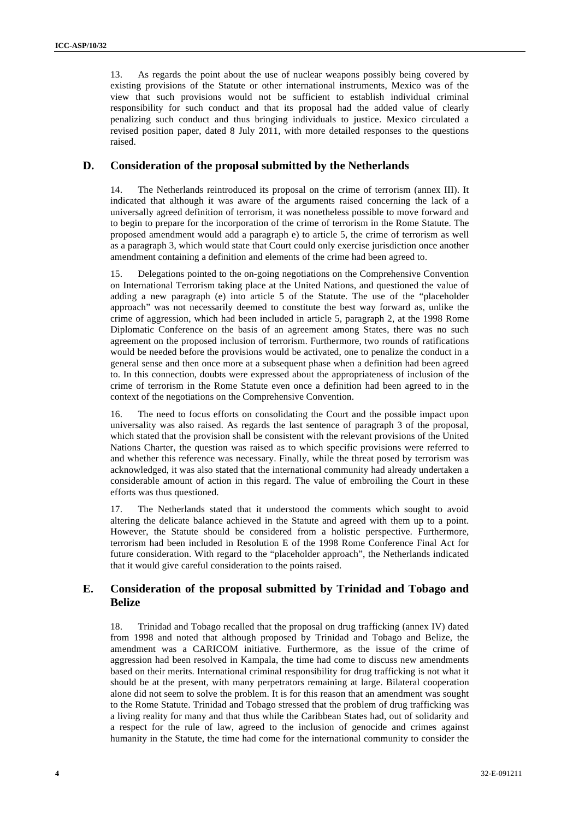13. As regards the point about the use of nuclear weapons possibly being covered by existing provisions of the Statute or other international instruments, Mexico was of the view that such provisions would not be sufficient to establish individual criminal responsibility for such conduct and that its proposal had the added value of clearly penalizing such conduct and thus bringing individuals to justice. Mexico circulated a revised position paper, dated 8 July 2011, with more detailed responses to the questions raised.

#### **D. Consideration of the proposal submitted by the Netherlands**

14. The Netherlands reintroduced its proposal on the crime of terrorism (annex III). It indicated that although it was aware of the arguments raised concerning the lack of a universally agreed definition of terrorism, it was nonetheless possible to move forward and to begin to prepare for the incorporation of the crime of terrorism in the Rome Statute. The proposed amendment would add a paragraph e) to article 5, the crime of terrorism as well as a paragraph 3, which would state that Court could only exercise jurisdiction once another amendment containing a definition and elements of the crime had been agreed to.

15. Delegations pointed to the on-going negotiations on the Comprehensive Convention on International Terrorism taking place at the United Nations, and questioned the value of adding a new paragraph (e) into article 5 of the Statute. The use of the "placeholder approach" was not necessarily deemed to constitute the best way forward as, unlike the crime of aggression, which had been included in article 5, paragraph 2, at the 1998 Rome Diplomatic Conference on the basis of an agreement among States, there was no such agreement on the proposed inclusion of terrorism. Furthermore, two rounds of ratifications would be needed before the provisions would be activated, one to penalize the conduct in a general sense and then once more at a subsequent phase when a definition had been agreed to. In this connection, doubts were expressed about the appropriateness of inclusion of the crime of terrorism in the Rome Statute even once a definition had been agreed to in the context of the negotiations on the Comprehensive Convention.

16. The need to focus efforts on consolidating the Court and the possible impact upon universality was also raised. As regards the last sentence of paragraph 3 of the proposal, which stated that the provision shall be consistent with the relevant provisions of the United Nations Charter, the question was raised as to which specific provisions were referred to and whether this reference was necessary. Finally, while the threat posed by terrorism was acknowledged, it was also stated that the international community had already undertaken a considerable amount of action in this regard. The value of embroiling the Court in these efforts was thus questioned.

17. The Netherlands stated that it understood the comments which sought to avoid altering the delicate balance achieved in the Statute and agreed with them up to a point. However, the Statute should be considered from a holistic perspective. Furthermore, terrorism had been included in Resolution E of the 1998 Rome Conference Final Act for future consideration. With regard to the "placeholder approach", the Netherlands indicated that it would give careful consideration to the points raised.

### **E. Consideration of the proposal submitted by Trinidad and Tobago and Belize**

18. Trinidad and Tobago recalled that the proposal on drug trafficking (annex IV) dated from 1998 and noted that although proposed by Trinidad and Tobago and Belize, the amendment was a CARICOM initiative. Furthermore, as the issue of the crime of aggression had been resolved in Kampala, the time had come to discuss new amendments based on their merits. International criminal responsibility for drug trafficking is not what it should be at the present, with many perpetrators remaining at large. Bilateral cooperation alone did not seem to solve the problem. It is for this reason that an amendment was sought to the Rome Statute. Trinidad and Tobago stressed that the problem of drug trafficking was a living reality for many and that thus while the Caribbean States had, out of solidarity and a respect for the rule of law, agreed to the inclusion of genocide and crimes against humanity in the Statute, the time had come for the international community to consider the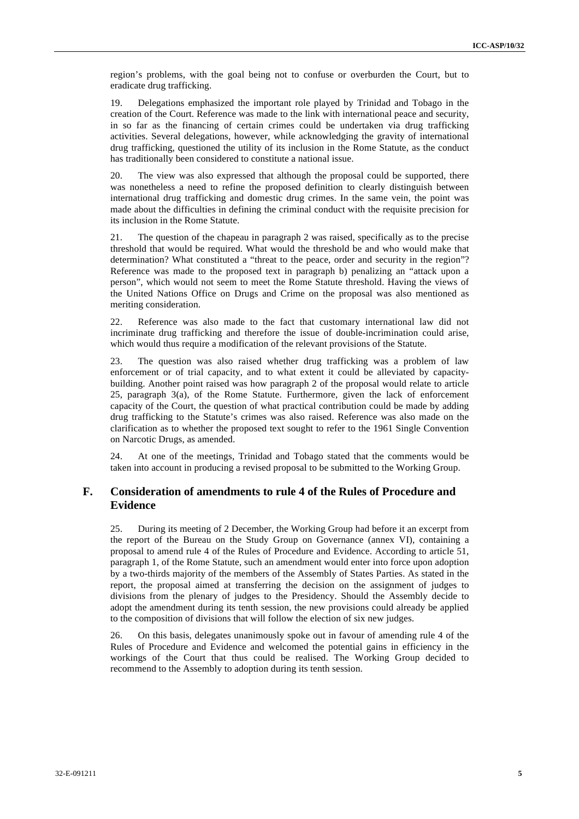region's problems, with the goal being not to confuse or overburden the Court, but to eradicate drug trafficking.

19. Delegations emphasized the important role played by Trinidad and Tobago in the creation of the Court. Reference was made to the link with international peace and security, in so far as the financing of certain crimes could be undertaken via drug trafficking activities. Several delegations, however, while acknowledging the gravity of international drug trafficking, questioned the utility of its inclusion in the Rome Statute, as the conduct has traditionally been considered to constitute a national issue.

20. The view was also expressed that although the proposal could be supported, there was nonetheless a need to refine the proposed definition to clearly distinguish between international drug trafficking and domestic drug crimes. In the same vein, the point was made about the difficulties in defining the criminal conduct with the requisite precision for its inclusion in the Rome Statute.

21. The question of the chapeau in paragraph 2 was raised, specifically as to the precise threshold that would be required. What would the threshold be and who would make that determination? What constituted a "threat to the peace, order and security in the region"? Reference was made to the proposed text in paragraph b) penalizing an "attack upon a person", which would not seem to meet the Rome Statute threshold. Having the views of the United Nations Office on Drugs and Crime on the proposal was also mentioned as meriting consideration.

22. Reference was also made to the fact that customary international law did not incriminate drug trafficking and therefore the issue of double-incrimination could arise, which would thus require a modification of the relevant provisions of the Statute.

23. The question was also raised whether drug trafficking was a problem of law enforcement or of trial capacity, and to what extent it could be alleviated by capacitybuilding. Another point raised was how paragraph 2 of the proposal would relate to article 25, paragraph 3(a), of the Rome Statute. Furthermore, given the lack of enforcement capacity of the Court, the question of what practical contribution could be made by adding drug trafficking to the Statute's crimes was also raised. Reference was also made on the clarification as to whether the proposed text sought to refer to the 1961 Single Convention on Narcotic Drugs, as amended.

24. At one of the meetings, Trinidad and Tobago stated that the comments would be taken into account in producing a revised proposal to be submitted to the Working Group.

### **F. Consideration of amendments to rule 4 of the Rules of Procedure and Evidence**

25. During its meeting of 2 December, the Working Group had before it an excerpt from the report of the Bureau on the Study Group on Governance (annex VI), containing a proposal to amend rule 4 of the Rules of Procedure and Evidence. According to article 51, paragraph 1, of the Rome Statute, such an amendment would enter into force upon adoption by a two-thirds majority of the members of the Assembly of States Parties. As stated in the report, the proposal aimed at transferring the decision on the assignment of judges to divisions from the plenary of judges to the Presidency. Should the Assembly decide to adopt the amendment during its tenth session, the new provisions could already be applied to the composition of divisions that will follow the election of six new judges.

26. On this basis, delegates unanimously spoke out in favour of amending rule 4 of the Rules of Procedure and Evidence and welcomed the potential gains in efficiency in the workings of the Court that thus could be realised. The Working Group decided to recommend to the Assembly to adoption during its tenth session.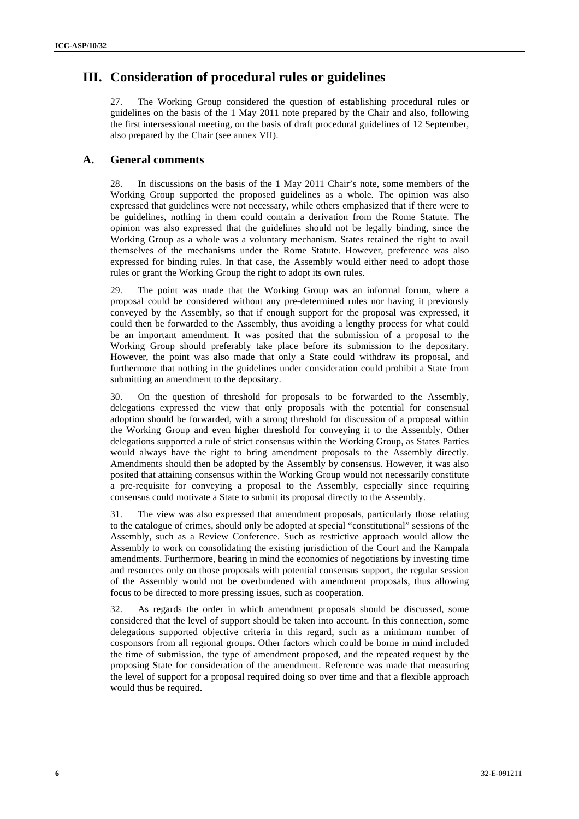# **III. Consideration of procedural rules or guidelines**

27. The Working Group considered the question of establishing procedural rules or guidelines on the basis of the 1 May 2011 note prepared by the Chair and also, following the first intersessional meeting, on the basis of draft procedural guidelines of 12 September, also prepared by the Chair (see annex VII).

### **A. General comments**

28. In discussions on the basis of the 1 May 2011 Chair's note, some members of the Working Group supported the proposed guidelines as a whole. The opinion was also expressed that guidelines were not necessary, while others emphasized that if there were to be guidelines, nothing in them could contain a derivation from the Rome Statute. The opinion was also expressed that the guidelines should not be legally binding, since the Working Group as a whole was a voluntary mechanism. States retained the right to avail themselves of the mechanisms under the Rome Statute. However, preference was also expressed for binding rules. In that case, the Assembly would either need to adopt those rules or grant the Working Group the right to adopt its own rules.

29. The point was made that the Working Group was an informal forum, where a proposal could be considered without any pre-determined rules nor having it previously conveyed by the Assembly, so that if enough support for the proposal was expressed, it could then be forwarded to the Assembly, thus avoiding a lengthy process for what could be an important amendment. It was posited that the submission of a proposal to the Working Group should preferably take place before its submission to the depositary. However, the point was also made that only a State could withdraw its proposal, and furthermore that nothing in the guidelines under consideration could prohibit a State from submitting an amendment to the depositary.

30. On the question of threshold for proposals to be forwarded to the Assembly, delegations expressed the view that only proposals with the potential for consensual adoption should be forwarded, with a strong threshold for discussion of a proposal within the Working Group and even higher threshold for conveying it to the Assembly. Other delegations supported a rule of strict consensus within the Working Group, as States Parties would always have the right to bring amendment proposals to the Assembly directly. Amendments should then be adopted by the Assembly by consensus. However, it was also posited that attaining consensus within the Working Group would not necessarily constitute a pre-requisite for conveying a proposal to the Assembly, especially since requiring consensus could motivate a State to submit its proposal directly to the Assembly.

31. The view was also expressed that amendment proposals, particularly those relating to the catalogue of crimes, should only be adopted at special "constitutional" sessions of the Assembly, such as a Review Conference. Such as restrictive approach would allow the Assembly to work on consolidating the existing jurisdiction of the Court and the Kampala amendments. Furthermore, bearing in mind the economics of negotiations by investing time and resources only on those proposals with potential consensus support, the regular session of the Assembly would not be overburdened with amendment proposals, thus allowing focus to be directed to more pressing issues, such as cooperation.

32. As regards the order in which amendment proposals should be discussed, some considered that the level of support should be taken into account. In this connection, some delegations supported objective criteria in this regard, such as a minimum number of cosponsors from all regional groups. Other factors which could be borne in mind included the time of submission, the type of amendment proposed, and the repeated request by the proposing State for consideration of the amendment. Reference was made that measuring the level of support for a proposal required doing so over time and that a flexible approach would thus be required.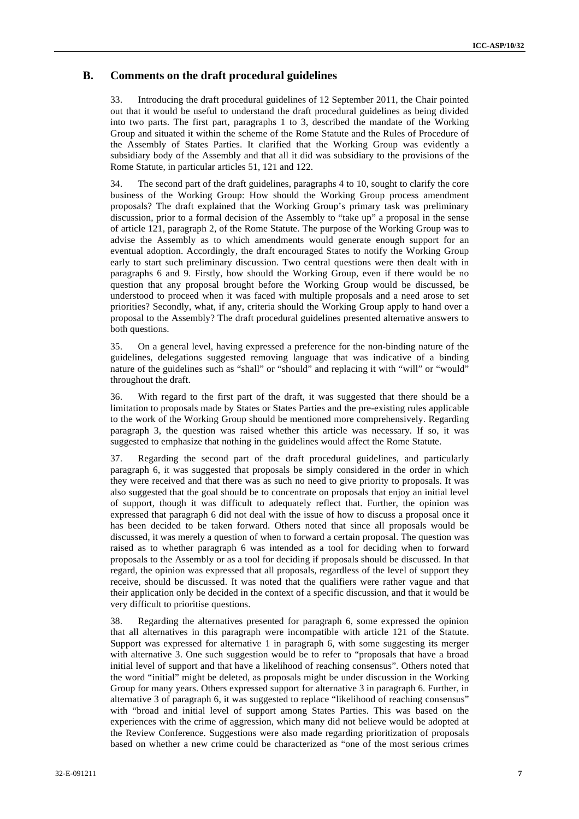### **B. Comments on the draft procedural guidelines**

33. Introducing the draft procedural guidelines of 12 September 2011, the Chair pointed out that it would be useful to understand the draft procedural guidelines as being divided into two parts. The first part, paragraphs 1 to 3, described the mandate of the Working Group and situated it within the scheme of the Rome Statute and the Rules of Procedure of the Assembly of States Parties. It clarified that the Working Group was evidently a subsidiary body of the Assembly and that all it did was subsidiary to the provisions of the Rome Statute, in particular articles 51, 121 and 122.

34. The second part of the draft guidelines, paragraphs 4 to 10, sought to clarify the core business of the Working Group: How should the Working Group process amendment proposals? The draft explained that the Working Group's primary task was preliminary discussion, prior to a formal decision of the Assembly to "take up" a proposal in the sense of article 121, paragraph 2, of the Rome Statute. The purpose of the Working Group was to advise the Assembly as to which amendments would generate enough support for an eventual adoption. Accordingly, the draft encouraged States to notify the Working Group early to start such preliminary discussion. Two central questions were then dealt with in paragraphs 6 and 9. Firstly, how should the Working Group, even if there would be no question that any proposal brought before the Working Group would be discussed, be understood to proceed when it was faced with multiple proposals and a need arose to set priorities? Secondly, what, if any, criteria should the Working Group apply to hand over a proposal to the Assembly? The draft procedural guidelines presented alternative answers to both questions.

35. On a general level, having expressed a preference for the non-binding nature of the guidelines, delegations suggested removing language that was indicative of a binding nature of the guidelines such as "shall" or "should" and replacing it with "will" or "would" throughout the draft.

36. With regard to the first part of the draft, it was suggested that there should be a limitation to proposals made by States or States Parties and the pre-existing rules applicable to the work of the Working Group should be mentioned more comprehensively. Regarding paragraph 3, the question was raised whether this article was necessary. If so, it was suggested to emphasize that nothing in the guidelines would affect the Rome Statute.

37. Regarding the second part of the draft procedural guidelines, and particularly paragraph 6, it was suggested that proposals be simply considered in the order in which they were received and that there was as such no need to give priority to proposals. It was also suggested that the goal should be to concentrate on proposals that enjoy an initial level of support, though it was difficult to adequately reflect that. Further, the opinion was expressed that paragraph 6 did not deal with the issue of how to discuss a proposal once it has been decided to be taken forward. Others noted that since all proposals would be discussed, it was merely a question of when to forward a certain proposal. The question was raised as to whether paragraph 6 was intended as a tool for deciding when to forward proposals to the Assembly or as a tool for deciding if proposals should be discussed. In that regard, the opinion was expressed that all proposals, regardless of the level of support they receive, should be discussed. It was noted that the qualifiers were rather vague and that their application only be decided in the context of a specific discussion, and that it would be very difficult to prioritise questions.

38. Regarding the alternatives presented for paragraph 6, some expressed the opinion that all alternatives in this paragraph were incompatible with article 121 of the Statute. Support was expressed for alternative 1 in paragraph 6, with some suggesting its merger with alternative 3. One such suggestion would be to refer to "proposals that have a broad initial level of support and that have a likelihood of reaching consensus". Others noted that the word "initial" might be deleted, as proposals might be under discussion in the Working Group for many years. Others expressed support for alternative 3 in paragraph 6. Further, in alternative 3 of paragraph 6, it was suggested to replace "likelihood of reaching consensus" with "broad and initial level of support among States Parties. This was based on the experiences with the crime of aggression, which many did not believe would be adopted at the Review Conference. Suggestions were also made regarding prioritization of proposals based on whether a new crime could be characterized as "one of the most serious crimes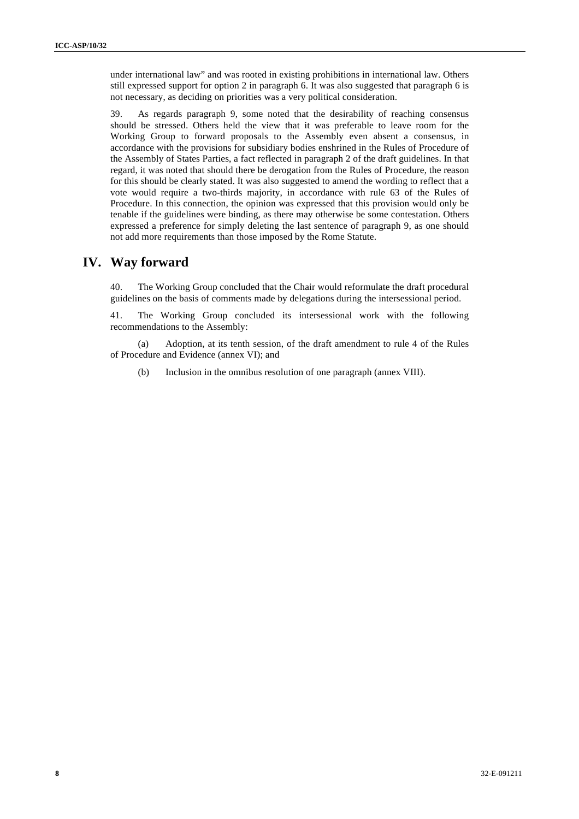under international law" and was rooted in existing prohibitions in international law. Others still expressed support for option 2 in paragraph 6. It was also suggested that paragraph 6 is not necessary, as deciding on priorities was a very political consideration.

39. As regards paragraph 9, some noted that the desirability of reaching consensus should be stressed. Others held the view that it was preferable to leave room for the Working Group to forward proposals to the Assembly even absent a consensus, in accordance with the provisions for subsidiary bodies enshrined in the Rules of Procedure of the Assembly of States Parties, a fact reflected in paragraph 2 of the draft guidelines. In that regard, it was noted that should there be derogation from the Rules of Procedure, the reason for this should be clearly stated. It was also suggested to amend the wording to reflect that a vote would require a two-thirds majority, in accordance with rule 63 of the Rules of Procedure. In this connection, the opinion was expressed that this provision would only be tenable if the guidelines were binding, as there may otherwise be some contestation. Others expressed a preference for simply deleting the last sentence of paragraph 9, as one should not add more requirements than those imposed by the Rome Statute.

# **IV. Way forward**

40. The Working Group concluded that the Chair would reformulate the draft procedural guidelines on the basis of comments made by delegations during the intersessional period.

41. The Working Group concluded its intersessional work with the following recommendations to the Assembly:

(a) Adoption, at its tenth session, of the draft amendment to rule 4 of the Rules of Procedure and Evidence (annex VI); and

(b) Inclusion in the omnibus resolution of one paragraph (annex VIII).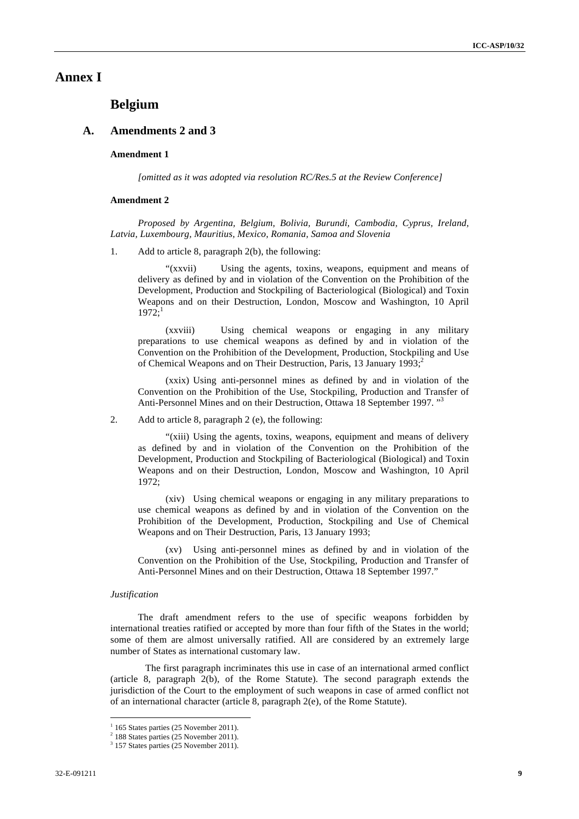### **Annex I**

# **Belgium**

#### **A. Amendments 2 and 3**

#### **Amendment 1**

*[omitted as it was adopted via resolution RC/Res.5 at the Review Conference]*

#### **Amendment 2**

*Proposed by Argentina, Belgium, Bolivia, Burundi, Cambodia, Cyprus, Ireland, Latvia, Luxembourg, Mauritius, Mexico, Romania, Samoa and Slovenia*

1. Add to article 8, paragraph 2(b), the following:

"(xxvii) Using the agents, toxins, weapons, equipment and means of delivery as defined by and in violation of the Convention on the Prohibition of the Development, Production and Stockpiling of Bacteriological (Biological) and Toxin Weapons and on their Destruction, London, Moscow and Washington, 10 April  $1972:1$ 

(xxviii) Using chemical weapons or engaging in any military preparations to use chemical weapons as defined by and in violation of the Convention on the Prohibition of the Development, Production, Stockpiling and Use of Chemical Weapons and on Their Destruction, Paris, 13 January 1993; $^2$ 

(xxix) Using anti-personnel mines as defined by and in violation of the Convention on the Prohibition of the Use, Stockpiling, Production and Transfer of Anti-Personnel Mines and on their Destruction, Ottawa 18 September 1997.<sup>"3</sup>

2. Add to article 8, paragraph 2 (e), the following:

"(xiii) Using the agents, toxins, weapons, equipment and means of delivery as defined by and in violation of the Convention on the Prohibition of the Development, Production and Stockpiling of Bacteriological (Biological) and Toxin Weapons and on their Destruction, London, Moscow and Washington, 10 April 1972;

(xiv) Using chemical weapons or engaging in any military preparations to use chemical weapons as defined by and in violation of the Convention on the Prohibition of the Development, Production, Stockpiling and Use of Chemical Weapons and on Their Destruction, Paris, 13 January 1993;

(xv) Using anti-personnel mines as defined by and in violation of the Convention on the Prohibition of the Use, Stockpiling, Production and Transfer of Anti-Personnel Mines and on their Destruction, Ottawa 18 September 1997."

#### *Justification*

The draft amendment refers to the use of specific weapons forbidden by international treaties ratified or accepted by more than four fifth of the States in the world; some of them are almost universally ratified. All are considered by an extremely large number of States as international customary law.

The first paragraph incriminates this use in case of an international armed conflict (article 8, paragraph 2(b), of the Rome Statute). The second paragraph extends the jurisdiction of the Court to the employment of such weapons in case of armed conflict not of an international character (article 8, paragraph 2(e), of the Rome Statute).

 $1$  165 States parties (25 November 2011).

 $2\overline{188}$  States parties (25 November 2011).

<sup>&</sup>lt;sup>3</sup> 157 States parties (25 November 2011).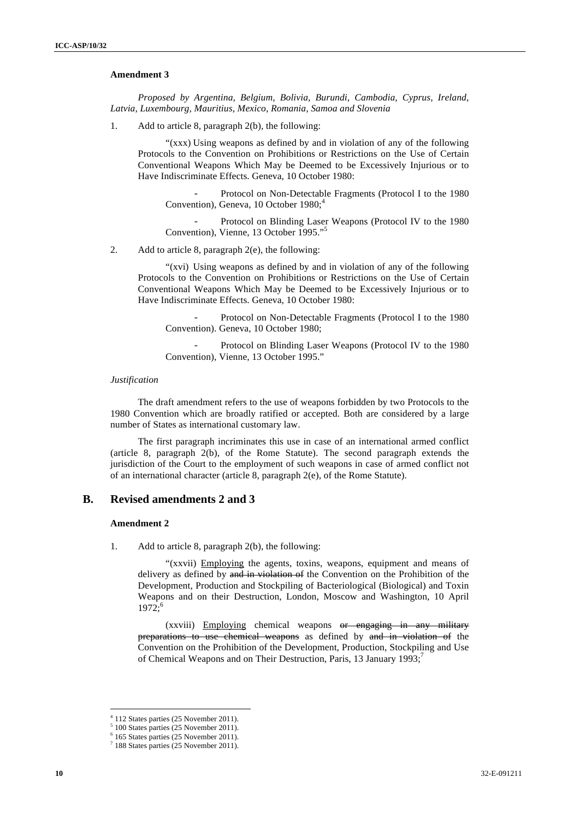#### **Amendment 3**

*Proposed by Argentina, Belgium, Bolivia, Burundi, Cambodia, Cyprus, Ireland, Latvia, Luxembourg, Mauritius, Mexico, Romania, Samoa and Slovenia*

1. Add to article 8, paragraph 2(b), the following:

"(xxx) Using weapons as defined by and in violation of any of the following Protocols to the Convention on Prohibitions or Restrictions on the Use of Certain Conventional Weapons Which May be Deemed to be Excessively Injurious or to Have Indiscriminate Effects. Geneva, 10 October 1980:

Protocol on Non-Detectable Fragments (Protocol I to the 1980 Convention), Geneva, 10 October  $1980$ ;<sup>4</sup>

Protocol on Blinding Laser Weapons (Protocol IV to the 1980) Convention), Vienne, 13 October 1995."<sup>5</sup>

2. Add to article 8, paragraph 2(e), the following:

"(xvi) Using weapons as defined by and in violation of any of the following Protocols to the Convention on Prohibitions or Restrictions on the Use of Certain Conventional Weapons Which May be Deemed to be Excessively Injurious or to Have Indiscriminate Effects. Geneva, 10 October 1980:

Protocol on Non-Detectable Fragments (Protocol I to the 1980) Convention). Geneva, 10 October 1980;

Protocol on Blinding Laser Weapons (Protocol IV to the 1980 Convention), Vienne, 13 October 1995."

#### *Justification*

The draft amendment refers to the use of weapons forbidden by two Protocols to the 1980 Convention which are broadly ratified or accepted. Both are considered by a large number of States as international customary law.

The first paragraph incriminates this use in case of an international armed conflict (article 8, paragraph 2(b), of the Rome Statute). The second paragraph extends the jurisdiction of the Court to the employment of such weapons in case of armed conflict not of an international character (article 8, paragraph 2(e), of the Rome Statute).

### **B. Revised amendments 2 and 3**

#### **Amendment 2**

l

1. Add to article 8, paragraph 2(b), the following:

"(xxvii) Employing the agents, toxins, weapons, equipment and means of delivery as defined by and in violation of the Convention on the Prohibition of the Development, Production and Stockpiling of Bacteriological (Biological) and Toxin Weapons and on their Destruction, London, Moscow and Washington, 10 April  $1972; ^{6}$ 

(xxviii) Employing chemical weapons or engaging in any military preparations to use chemical weapons as defined by and in violation of the Convention on the Prohibition of the Development, Production, Stockpiling and Use of Chemical Weapons and on Their Destruction, Paris, 13 January 1993;<sup>7</sup>

 $4$  112 States parties (25 November 2011).

 $^5$  100 States parties (25 November 2011).

 <sup>165</sup> States parties (25 November 2011).

<sup>7</sup> 188 States parties (25 November 2011).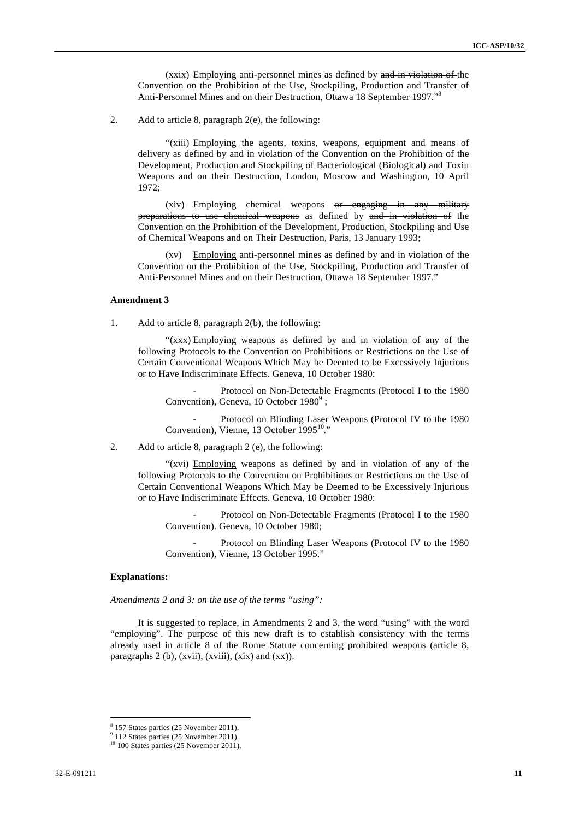(xxix) Employing anti-personnel mines as defined by and in violation of the Convention on the Prohibition of the Use, Stockpiling, Production and Transfer of Anti-Personnel Mines and on their Destruction, Ottawa 18 September 1997."<sup>8</sup>

2. Add to article 8, paragraph 2(e), the following:

"(xiii) Employing the agents, toxins, weapons, equipment and means of delivery as defined by and in violation of the Convention on the Prohibition of the Development, Production and Stockpiling of Bacteriological (Biological) and Toxin Weapons and on their Destruction, London, Moscow and Washington, 10 April 1972;

(xiv) Employing chemical weapons or engaging in any military preparations to use chemical weapons as defined by and in violation of the Convention on the Prohibition of the Development, Production, Stockpiling and Use of Chemical Weapons and on Their Destruction, Paris, 13 January 1993;

(xv) Employing anti-personnel mines as defined by and in violation of the Convention on the Prohibition of the Use, Stockpiling, Production and Transfer of Anti-Personnel Mines and on their Destruction, Ottawa 18 September 1997."

#### **Amendment 3**

1. Add to article 8, paragraph 2(b), the following:

" $(xxx)$  Employing weapons as defined by and in violation of any of the following Protocols to the Convention on Prohibitions or Restrictions on the Use of Certain Conventional Weapons Which May be Deemed to be Excessively Injurious or to Have Indiscriminate Effects. Geneva, 10 October 1980:

Protocol on Non-Detectable Fragments (Protocol I to the 1980) Convention), Geneva, 10 October  $1980^9$ ;

Protocol on Blinding Laser Weapons (Protocol IV to the 1980 Convention), Vienne, 13 October 1995<sup>10</sup>."

2. Add to article 8, paragraph 2 (e), the following:

"(xvi) Employing weapons as defined by  $\theta$  and in violation of any of the following Protocols to the Convention on Prohibitions or Restrictions on the Use of Certain Conventional Weapons Which May be Deemed to be Excessively Injurious or to Have Indiscriminate Effects. Geneva, 10 October 1980:

Protocol on Non-Detectable Fragments (Protocol I to the 1980 Convention). Geneva, 10 October 1980;

Protocol on Blinding Laser Weapons (Protocol IV to the 1980) Convention), Vienne, 13 October 1995."

#### **Explanations:**

*Amendments 2 and 3: on the use of the terms "using":* 

It is suggested to replace, in Amendments 2 and 3, the word "using" with the word "employing". The purpose of this new draft is to establish consistency with the terms already used in article 8 of the Rome Statute concerning prohibited weapons (article 8, paragraphs 2 (b), (xvii), (xviii), (xix) and (xx)).

 $\frac{8}{2}$  157 States parties (25 November 2011).

 <sup>112</sup> States parties (25 November 2011).

 $10^{10}$  100 States parties (25 November 2011).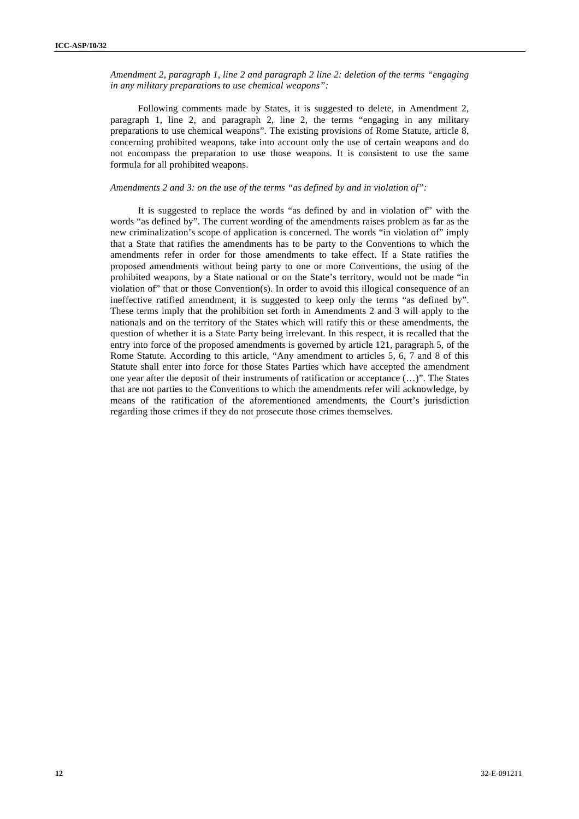*Amendment 2, paragraph 1, line 2 and paragraph 2 line 2: deletion of the terms "engaging in any military preparations to use chemical weapons":*

Following comments made by States, it is suggested to delete, in Amendment 2, paragraph 1, line 2, and paragraph 2, line 2, the terms "engaging in any military preparations to use chemical weapons". The existing provisions of Rome Statute, article 8, concerning prohibited weapons, take into account only the use of certain weapons and do not encompass the preparation to use those weapons. It is consistent to use the same formula for all prohibited weapons.

#### *Amendments 2 and 3: on the use of the terms "as defined by and in violation of":*

It is suggested to replace the words "as defined by and in violation of" with the words "as defined by". The current wording of the amendments raises problem as far as the new criminalization's scope of application is concerned. The words "in violation of" imply that a State that ratifies the amendments has to be party to the Conventions to which the amendments refer in order for those amendments to take effect. If a State ratifies the proposed amendments without being party to one or more Conventions, the using of the prohibited weapons, by a State national or on the State's territory, would not be made "in violation of" that or those Convention(s). In order to avoid this illogical consequence of an ineffective ratified amendment, it is suggested to keep only the terms "as defined by". These terms imply that the prohibition set forth in Amendments 2 and 3 will apply to the nationals and on the territory of the States which will ratify this or these amendments, the question of whether it is a State Party being irrelevant. In this respect, it is recalled that the entry into force of the proposed amendments is governed by article 121, paragraph 5, of the Rome Statute. According to this article, "Any amendment to articles 5, 6, 7 and 8 of this Statute shall enter into force for those States Parties which have accepted the amendment one year after the deposit of their instruments of ratification or acceptance (…)". The States that are not parties to the Conventions to which the amendments refer will acknowledge, by means of the ratification of the aforementioned amendments, the Court's jurisdiction regarding those crimes if they do not prosecute those crimes themselves.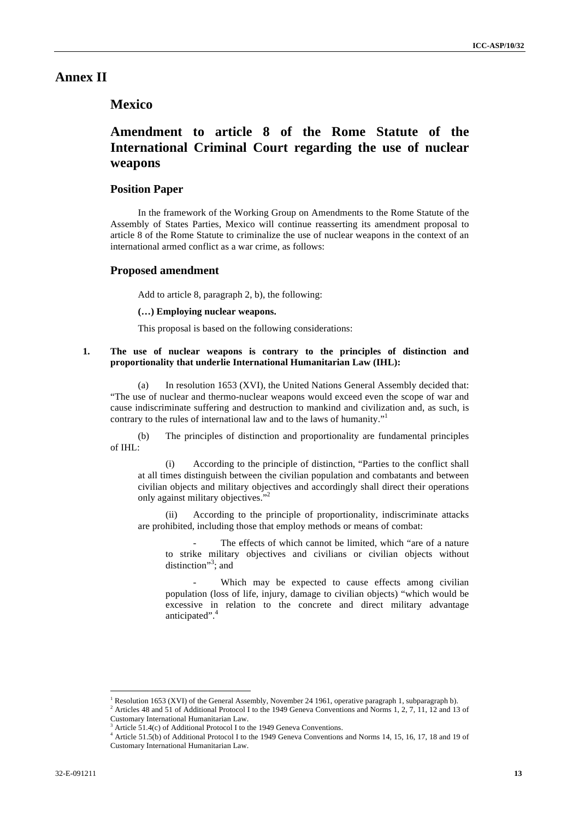# **Annex II**

# **Mexico**

# **Amendment to article 8 of the Rome Statute of the International Criminal Court regarding the use of nuclear weapons**

### **Position Paper**

In the framework of the Working Group on Amendments to the Rome Statute of the Assembly of States Parties, Mexico will continue reasserting its amendment proposal to article 8 of the Rome Statute to criminalize the use of nuclear weapons in the context of an international armed conflict as a war crime, as follows:

#### **Proposed amendment**

Add to article 8, paragraph 2, b), the following:

**(…) Employing nuclear weapons.**

This proposal is based on the following considerations:

#### **1. The use of nuclear weapons is contrary to the principles of distinction and proportionality that underlie International Humanitarian Law (IHL):**

(a) In resolution 1653 (XVI), the United Nations General Assembly decided that: "The use of nuclear and thermo-nuclear weapons would exceed even the scope of war and cause indiscriminate suffering and destruction to mankind and civilization and, as such, is contrary to the rules of international law and to the laws of humanity."1 

(b) The principles of distinction and proportionality are fundamental principles of IHL:

(i) According to the principle of distinction, "Parties to the conflict shall at all times distinguish between the civilian population and combatants and between civilian objects and military objectives and accordingly shall direct their operations only against military objectives."

(ii) According to the principle of proportionality, indiscriminate attacks are prohibited, including those that employ methods or means of combat:

The effects of which cannot be limited, which "are of a nature" to strike military objectives and civilians or civilian objects without distinction"<sup>3</sup>; and

Which may be expected to cause effects among civilian population (loss of life, injury, damage to civilian objects) "which would be excessive in relation to the concrete and direct military advantage anticipated".<sup>4</sup>

 $\overline{a}$ 

<sup>1</sup> Resolution 1653 (XVI) of the General Assembly, November 24 1961, operative paragraph 1, subparagraph b).

<sup>2</sup> Articles 48 and 51 of Additional Protocol I to the 1949 Geneva Conventions and Norms 1, 2, 7, 11, 12 and 13 of Customary International Humanitarian Law.

<sup>&</sup>lt;sup>3</sup> Article 51.4(c) of Additional Protocol I to the 1949 Geneva Conventions.

<sup>4</sup> Article 51.5(b) of Additional Protocol I to the 1949 Geneva Conventions and Norms 14, 15, 16, 17, 18 and 19 of Customary International Humanitarian Law.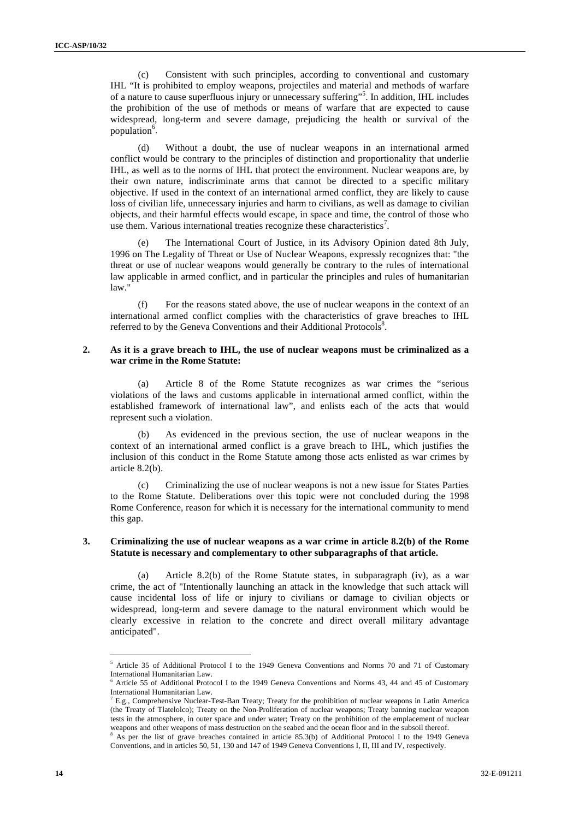(c) Consistent with such principles, according to conventional and customary IHL "It is prohibited to employ weapons, projectiles and material and methods of warfare of a nature to cause superfluous injury or unnecessary suffering"<sup>5</sup>. In addition, IHL includes the prohibition of the use of methods or means of warfare that are expected to cause widespread, long-term and severe damage, prejudicing the health or survival of the population<sup>6</sup>.

(d) Without a doubt, the use of nuclear weapons in an international armed conflict would be contrary to the principles of distinction and proportionality that underlie IHL, as well as to the norms of IHL that protect the environment. Nuclear weapons are, by their own nature, indiscriminate arms that cannot be directed to a specific military objective. If used in the context of an international armed conflict, they are likely to cause loss of civilian life, unnecessary injuries and harm to civilians, as well as damage to civilian objects, and their harmful effects would escape, in space and time, the control of those who use them. Various international treaties recognize these characteristics<sup>7</sup>.

(e) The International Court of Justice, in its Advisory Opinion dated 8th July, 1996 on The Legality of Threat or Use of Nuclear Weapons, expressly recognizes that: "the threat or use of nuclear weapons would generally be contrary to the rules of international law applicable in armed conflict, and in particular the principles and rules of humanitarian law."

(f) For the reasons stated above, the use of nuclear weapons in the context of an international armed conflict complies with the characteristics of grave breaches to IHL referred to by the Geneva Conventions and their Additional Protocols<sup>8</sup>.

#### **2. As it is a grave breach to IHL, the use of nuclear weapons must be criminalized as a war crime in the Rome Statute:**

(a) Article 8 of the Rome Statute recognizes as war crimes the "serious violations of the laws and customs applicable in international armed conflict, within the established framework of international law", and enlists each of the acts that would represent such a violation.

As evidenced in the previous section, the use of nuclear weapons in the context of an international armed conflict is a grave breach to IHL, which justifies the inclusion of this conduct in the Rome Statute among those acts enlisted as war crimes by article 8.2(b).

(c) Criminalizing the use of nuclear weapons is not a new issue for States Parties to the Rome Statute. Deliberations over this topic were not concluded during the 1998 Rome Conference, reason for which it is necessary for the international community to mend this gap.

#### **3. Criminalizing the use of nuclear weapons as a war crime in article 8.2(b) of the Rome Statute is necessary and complementary to other subparagraphs of that article.**

(a) Article 8.2(b) of the Rome Statute states, in subparagraph (iv), as a war crime, the act of "Intentionally launching an attack in the knowledge that such attack will cause incidental loss of life or injury to civilians or damage to civilian objects or widespread, long-term and severe damage to the natural environment which would be clearly excessive in relation to the concrete and direct overall military advantage anticipated".

 $\overline{a}$ 

<sup>&</sup>lt;sup>5</sup> Article 35 of Additional Protocol I to the 1949 Geneva Conventions and Norms 70 and 71 of Customary International Humanitarian Law.

<sup>6</sup> Article 55 of Additional Protocol I to the 1949 Geneva Conventions and Norms 43, 44 and 45 of Customary International Humanitarian Law.

 $^7$  E.g., Comprehensive Nuclear-Test-Ban Treaty; Treaty for the prohibition of nuclear weapons in Latin America (the Treaty of Tlatelolco); Treaty on the Non-Proliferation of nuclear weapons; Treaty banning nuclear weapon tests in the atmosphere, in outer space and under water; Treaty on the prohibition of the emplacement of nuclear weapons and other weapons of mass destruction on the seabed and the ocean floor and in the subsoil thereof.<br><sup>8</sup> As not the list of group breaches contained in erticle 85.2(b) of Additional Protecel L to the 1940 G

As per the list of grave breaches contained in article 85.3(b) of Additional Protocol I to the 1949 Geneva Conventions, and in articles 50, 51, 130 and 147 of 1949 Geneva Conventions I, II, III and IV, respectively.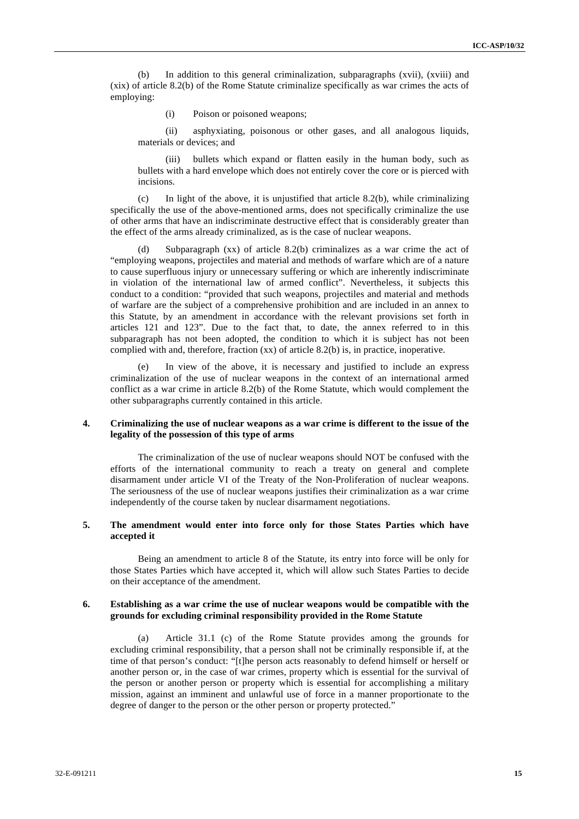(b) In addition to this general criminalization, subparagraphs (xvii), (xviii) and (xix) of article 8.2(b) of the Rome Statute criminalize specifically as war crimes the acts of employing:

(i) Poison or poisoned weapons;

(ii) asphyxiating, poisonous or other gases, and all analogous liquids, materials or devices; and

(iii) bullets which expand or flatten easily in the human body, such as bullets with a hard envelope which does not entirely cover the core or is pierced with incisions.

In light of the above, it is unjustified that article 8.2(b), while criminalizing specifically the use of the above-mentioned arms, does not specifically criminalize the use of other arms that have an indiscriminate destructive effect that is considerably greater than the effect of the arms already criminalized, as is the case of nuclear weapons.

(d) Subparagraph (xx) of article 8.2(b) criminalizes as a war crime the act of "employing weapons, projectiles and material and methods of warfare which are of a nature to cause superfluous injury or unnecessary suffering or which are inherently indiscriminate in violation of the international law of armed conflict". Nevertheless, it subjects this conduct to a condition: "provided that such weapons, projectiles and material and methods of warfare are the subject of a comprehensive prohibition and are included in an annex to this Statute, by an amendment in accordance with the relevant provisions set forth in articles 121 and 123". Due to the fact that, to date, the annex referred to in this subparagraph has not been adopted, the condition to which it is subject has not been complied with and, therefore, fraction (xx) of article 8.2(b) is, in practice, inoperative.

(e) In view of the above, it is necessary and justified to include an express criminalization of the use of nuclear weapons in the context of an international armed conflict as a war crime in article 8.2(b) of the Rome Statute, which would complement the other subparagraphs currently contained in this article.

#### **4. Criminalizing the use of nuclear weapons as a war crime is different to the issue of the legality of the possession of this type of arms**

The criminalization of the use of nuclear weapons should NOT be confused with the efforts of the international community to reach a treaty on general and complete disarmament under article VI of the Treaty of the Non-Proliferation of nuclear weapons. The seriousness of the use of nuclear weapons justifies their criminalization as a war crime independently of the course taken by nuclear disarmament negotiations.

#### **5. The amendment would enter into force only for those States Parties which have accepted it**

Being an amendment to article 8 of the Statute, its entry into force will be only for those States Parties which have accepted it, which will allow such States Parties to decide on their acceptance of the amendment.

#### **6. Establishing as a war crime the use of nuclear weapons would be compatible with the grounds for excluding criminal responsibility provided in the Rome Statute**

(a) Article 31.1 (c) of the Rome Statute provides among the grounds for excluding criminal responsibility, that a person shall not be criminally responsible if, at the time of that person's conduct: "[t]he person acts reasonably to defend himself or herself or another person or, in the case of war crimes, property which is essential for the survival of the person or another person or property which is essential for accomplishing a military mission, against an imminent and unlawful use of force in a manner proportionate to the degree of danger to the person or the other person or property protected."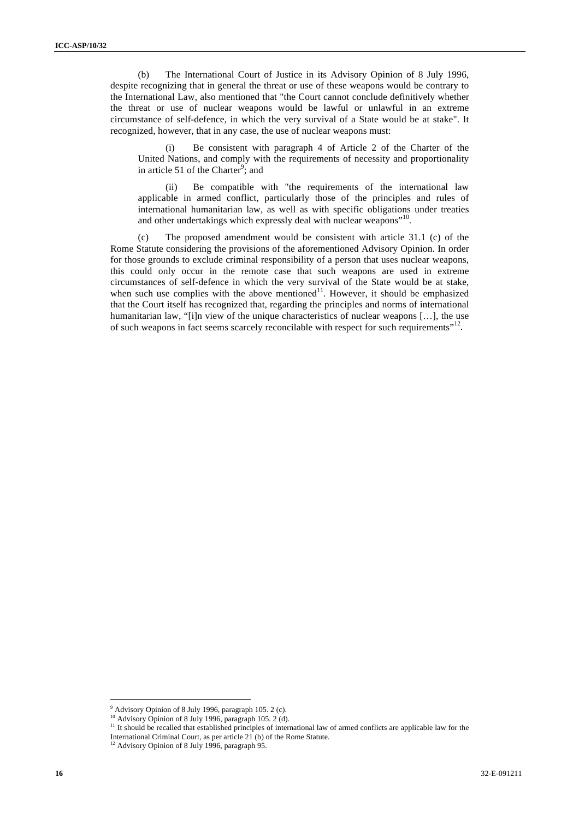(b) The International Court of Justice in its Advisory Opinion of 8 July 1996, despite recognizing that in general the threat or use of these weapons would be contrary to the International Law, also mentioned that "the Court cannot conclude definitively whether the threat or use of nuclear weapons would be lawful or unlawful in an extreme circumstance of self-defence, in which the very survival of a State would be at stake". It recognized, however, that in any case, the use of nuclear weapons must:

(i) Be consistent with paragraph 4 of Article 2 of the Charter of the United Nations, and comply with the requirements of necessity and proportionality in article 51 of the Charter<sup>9</sup>; and

(ii) Be compatible with "the requirements of the international law applicable in armed conflict, particularly those of the principles and rules of international humanitarian law, as well as with specific obligations under treaties and other undertakings which expressly deal with nuclear weapons"<sup>10</sup>.

(c) The proposed amendment would be consistent with article 31.1 (c) of the Rome Statute considering the provisions of the aforementioned Advisory Opinion. In order for those grounds to exclude criminal responsibility of a person that uses nuclear weapons, this could only occur in the remote case that such weapons are used in extreme circumstances of self-defence in which the very survival of the State would be at stake, when such use complies with the above mentioned $11$ . However, it should be emphasized that the Court itself has recognized that, regarding the principles and norms of international humanitarian law, "[i]n view of the unique characteristics of nuclear weapons [...], the use of such weapons in fact seems scarcely reconcilable with respect for such requirements"<sup>12</sup>.

 $\overline{a}$ 

 $9$  Advisory Opinion of 8 July 1996, paragraph 105. 2 (c).

<sup>&</sup>lt;sup>10</sup> Advisory Opinion of 8 July 1996, paragraph 105. 2 (d).

<sup>&</sup>lt;sup>11</sup> It should be recalled that established principles of international law of armed conflicts are applicable law for the

International Criminal Court, as per article 21 (b) of the Rome Statute.

<sup>&</sup>lt;sup>12</sup> Advisory Opinion of 8 July 1996, paragraph 95.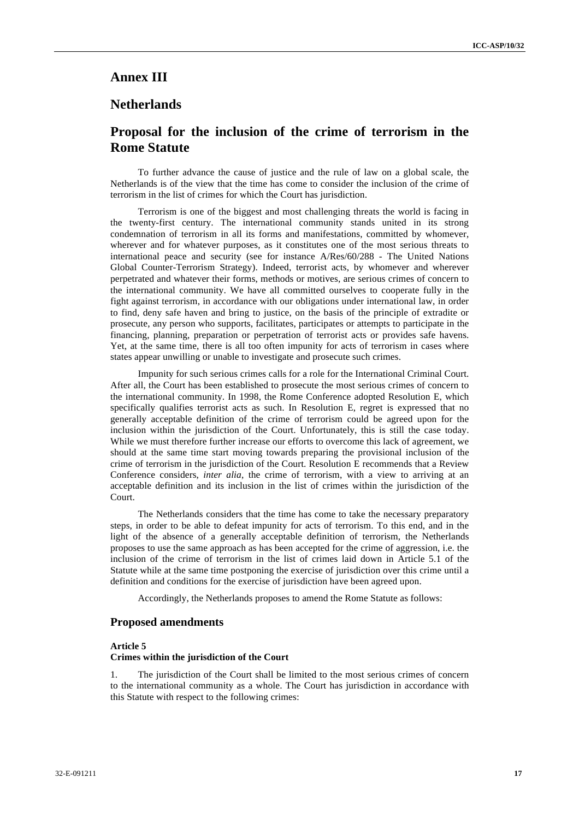# **Annex III**

### **Netherlands**

# **Proposal for the inclusion of the crime of terrorism in the Rome Statute**

To further advance the cause of justice and the rule of law on a global scale, the Netherlands is of the view that the time has come to consider the inclusion of the crime of terrorism in the list of crimes for which the Court has jurisdiction.

Terrorism is one of the biggest and most challenging threats the world is facing in the twenty-first century. The international community stands united in its strong condemnation of terrorism in all its forms and manifestations, committed by whomever, wherever and for whatever purposes, as it constitutes one of the most serious threats to international peace and security (see for instance A/Res/60/288 - The United Nations Global Counter-Terrorism Strategy). Indeed, terrorist acts, by whomever and wherever perpetrated and whatever their forms, methods or motives, are serious crimes of concern to the international community. We have all committed ourselves to cooperate fully in the fight against terrorism, in accordance with our obligations under international law, in order to find, deny safe haven and bring to justice, on the basis of the principle of extradite or prosecute, any person who supports, facilitates, participates or attempts to participate in the financing, planning, preparation or perpetration of terrorist acts or provides safe havens. Yet, at the same time, there is all too often impunity for acts of terrorism in cases where states appear unwilling or unable to investigate and prosecute such crimes.

Impunity for such serious crimes calls for a role for the International Criminal Court. After all, the Court has been established to prosecute the most serious crimes of concern to the international community. In 1998, the Rome Conference adopted Resolution E, which specifically qualifies terrorist acts as such. In Resolution E, regret is expressed that no generally acceptable definition of the crime of terrorism could be agreed upon for the inclusion within the jurisdiction of the Court. Unfortunately, this is still the case today. While we must therefore further increase our efforts to overcome this lack of agreement, we should at the same time start moving towards preparing the provisional inclusion of the crime of terrorism in the jurisdiction of the Court. Resolution E recommends that a Review Conference considers, *inter alia*, the crime of terrorism, with a view to arriving at an acceptable definition and its inclusion in the list of crimes within the jurisdiction of the Court.

The Netherlands considers that the time has come to take the necessary preparatory steps, in order to be able to defeat impunity for acts of terrorism. To this end, and in the light of the absence of a generally acceptable definition of terrorism, the Netherlands proposes to use the same approach as has been accepted for the crime of aggression, i.e. the inclusion of the crime of terrorism in the list of crimes laid down in Article 5.1 of the Statute while at the same time postponing the exercise of jurisdiction over this crime until a definition and conditions for the exercise of jurisdiction have been agreed upon.

Accordingly, the Netherlands proposes to amend the Rome Statute as follows:

#### **Proposed amendments**

#### **Article 5**

#### **Crimes within the jurisdiction of the Court**

The jurisdiction of the Court shall be limited to the most serious crimes of concern to the international community as a whole. The Court has jurisdiction in accordance with this Statute with respect to the following crimes: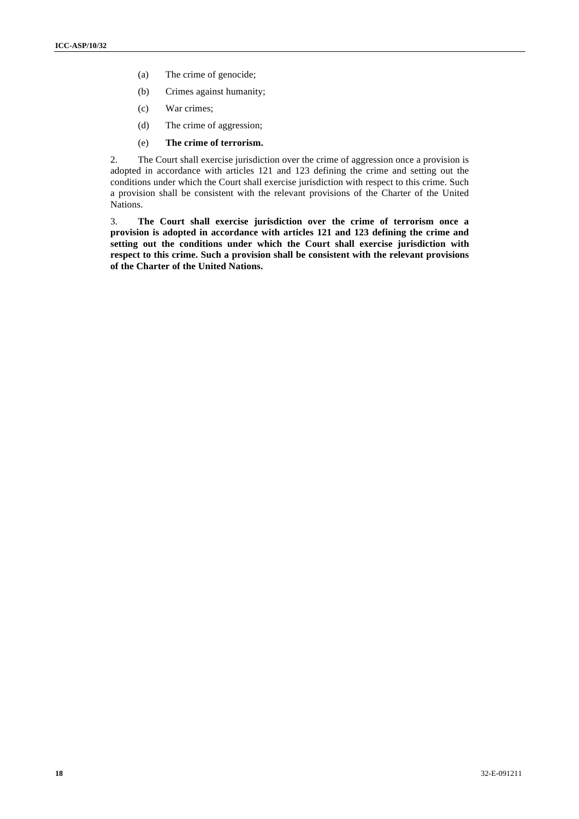- (a) The crime of genocide;
- (b) Crimes against humanity;
- (c) War crimes;
- (d) The crime of aggression;
- (e) **The crime of terrorism.**

2. The Court shall exercise jurisdiction over the crime of aggression once a provision is adopted in accordance with articles 121 and 123 defining the crime and setting out the conditions under which the Court shall exercise jurisdiction with respect to this crime. Such a provision shall be consistent with the relevant provisions of the Charter of the United Nations.

3. **The Court shall exercise jurisdiction over the crime of terrorism once a provision is adopted in accordance with articles 121 and 123 defining the crime and setting out the conditions under which the Court shall exercise jurisdiction with respect to this crime. Such a provision shall be consistent with the relevant provisions of the Charter of the United Nations.**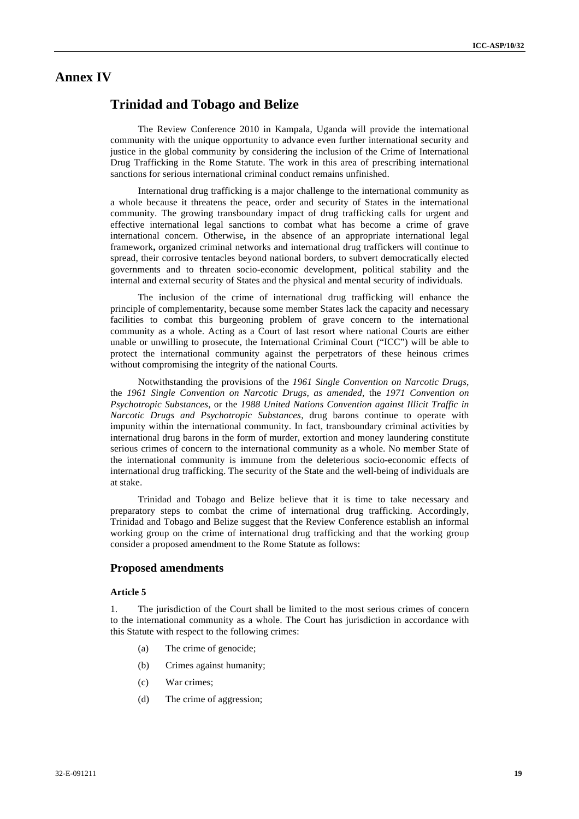### **Annex IV**

# **Trinidad and Tobago and Belize**

The Review Conference 2010 in Kampala, Uganda will provide the international community with the unique opportunity to advance even further international security and justice in the global community by considering the inclusion of the Crime of International Drug Trafficking in the Rome Statute. The work in this area of prescribing international sanctions for serious international criminal conduct remains unfinished.

International drug trafficking is a major challenge to the international community as a whole because it threatens the peace, order and security of States in the international community. The growing transboundary impact of drug trafficking calls for urgent and effective international legal sanctions to combat what has become a crime of grave international concern. Otherwise**,** in the absence of an appropriate international legal framework**,** organized criminal networks and international drug traffickers will continue to spread, their corrosive tentacles beyond national borders, to subvert democratically elected governments and to threaten socio-economic development, political stability and the internal and external security of States and the physical and mental security of individuals.

The inclusion of the crime of international drug trafficking will enhance the principle of complementarity, because some member States lack the capacity and necessary facilities to combat this burgeoning problem of grave concern to the international community as a whole. Acting as a Court of last resort where national Courts are either unable or unwilling to prosecute, the International Criminal Court ("ICC") will be able to protect the international community against the perpetrators of these heinous crimes without compromising the integrity of the national Courts.

Notwithstanding the provisions of the *1961 Single Convention on Narcotic Drugs*, the *1961 Single Convention on Narcotic Drugs, as amended*, the *1971 Convention on Psychotropic Substances*, or the *1988 United Nations Convention against Illicit Traffic in Narcotic Drugs and Psychotropic Substances*, drug barons continue to operate with impunity within the international community. In fact, transboundary criminal activities by international drug barons in the form of murder, extortion and money laundering constitute serious crimes of concern to the international community as a whole. No member State of the international community is immune from the deleterious socio-economic effects of international drug trafficking. The security of the State and the well-being of individuals are at stake.

Trinidad and Tobago and Belize believe that it is time to take necessary and preparatory steps to combat the crime of international drug trafficking. Accordingly, Trinidad and Tobago and Belize suggest that the Review Conference establish an informal working group on the crime of international drug trafficking and that the working group consider a proposed amendment to the Rome Statute as follows:

### **Proposed amendments**

#### **Article 5**

1. The jurisdiction of the Court shall be limited to the most serious crimes of concern to the international community as a whole. The Court has jurisdiction in accordance with this Statute with respect to the following crimes:

- (a) The crime of genocide;
- (b) Crimes against humanity;
- (c) War crimes;
- (d) The crime of aggression;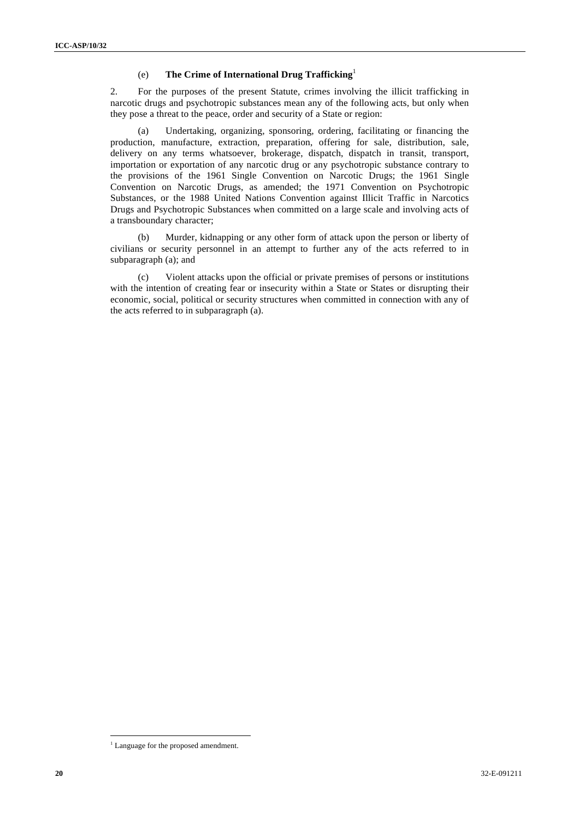### (e) **The Crime of International Drug Trafficking**<sup>1</sup>

2. For the purposes of the present Statute, crimes involving the illicit trafficking in narcotic drugs and psychotropic substances mean any of the following acts, but only when they pose a threat to the peace, order and security of a State or region:

(a) Undertaking, organizing, sponsoring, ordering, facilitating or financing the production, manufacture, extraction, preparation, offering for sale, distribution, sale, delivery on any terms whatsoever, brokerage, dispatch, dispatch in transit, transport, importation or exportation of any narcotic drug or any psychotropic substance contrary to the provisions of the 1961 Single Convention on Narcotic Drugs; the 1961 Single Convention on Narcotic Drugs, as amended; the 1971 Convention on Psychotropic Substances, or the 1988 United Nations Convention against Illicit Traffic in Narcotics Drugs and Psychotropic Substances when committed on a large scale and involving acts of a transboundary character;

(b) Murder, kidnapping or any other form of attack upon the person or liberty of civilians or security personnel in an attempt to further any of the acts referred to in subparagraph (a); and

(c) Violent attacks upon the official or private premises of persons or institutions with the intention of creating fear or insecurity within a State or States or disrupting their economic, social, political or security structures when committed in connection with any of the acts referred to in subparagraph (a).

<sup>&</sup>lt;sup>1</sup> Language for the proposed amendment.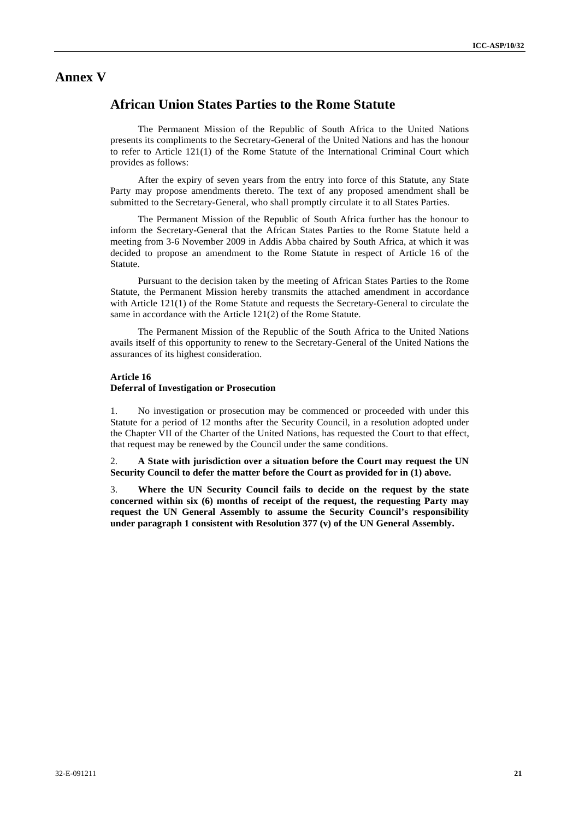# **Annex V**

# **African Union States Parties to the Rome Statute**

The Permanent Mission of the Republic of South Africa to the United Nations presents its compliments to the Secretary-General of the United Nations and has the honour to refer to Article 121(1) of the Rome Statute of the International Criminal Court which provides as follows:

After the expiry of seven years from the entry into force of this Statute, any State Party may propose amendments thereto. The text of any proposed amendment shall be submitted to the Secretary-General, who shall promptly circulate it to all States Parties.

The Permanent Mission of the Republic of South Africa further has the honour to inform the Secretary-General that the African States Parties to the Rome Statute held a meeting from 3-6 November 2009 in Addis Abba chaired by South Africa, at which it was decided to propose an amendment to the Rome Statute in respect of Article 16 of the Statute.

Pursuant to the decision taken by the meeting of African States Parties to the Rome Statute, the Permanent Mission hereby transmits the attached amendment in accordance with Article 121(1) of the Rome Statute and requests the Secretary-General to circulate the same in accordance with the Article 121(2) of the Rome Statute.

The Permanent Mission of the Republic of the South Africa to the United Nations avails itself of this opportunity to renew to the Secretary-General of the United Nations the assurances of its highest consideration.

### **Article 16**

### **Deferral of Investigation or Prosecution**

1. No investigation or prosecution may be commenced or proceeded with under this Statute for a period of 12 months after the Security Council, in a resolution adopted under the Chapter VII of the Charter of the United Nations, has requested the Court to that effect, that request may be renewed by the Council under the same conditions.

2. **A State with jurisdiction over a situation before the Court may request the UN Security Council to defer the matter before the Court as provided for in (1) above.**

3. **Where the UN Security Council fails to decide on the request by the state concerned within six (6) months of receipt of the request, the requesting Party may request the UN General Assembly to assume the Security Council's responsibility under paragraph 1 consistent with Resolution 377 (v) of the UN General Assembly.**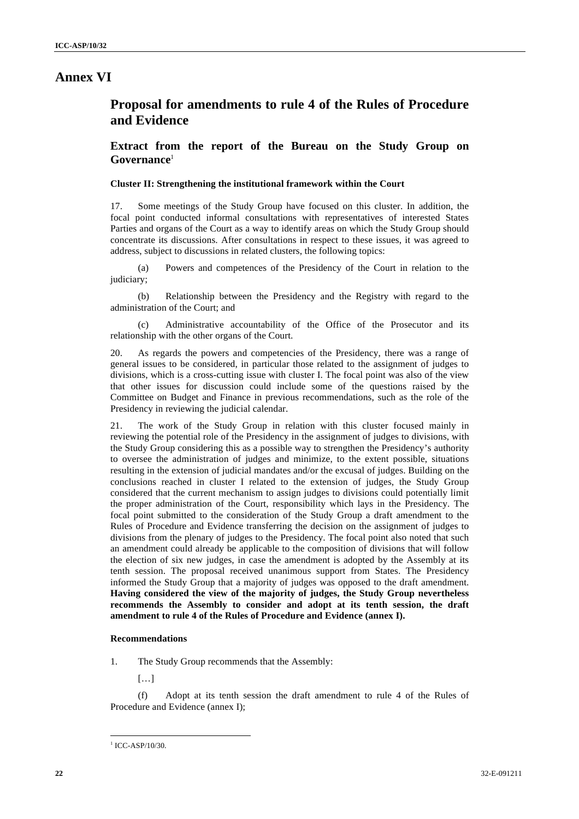### **Annex VI**

# **Proposal for amendments to rule 4 of the Rules of Procedure and Evidence**

**Extract from the report of the Bureau on the Study Group on Governance**<sup>1</sup>

#### **Cluster II: Strengthening the institutional framework within the Court**

17. Some meetings of the Study Group have focused on this cluster. In addition, the focal point conducted informal consultations with representatives of interested States Parties and organs of the Court as a way to identify areas on which the Study Group should concentrate its discussions. After consultations in respect to these issues, it was agreed to address, subject to discussions in related clusters, the following topics:

(a) Powers and competences of the Presidency of the Court in relation to the judiciary;

(b) Relationship between the Presidency and the Registry with regard to the administration of the Court; and

Administrative accountability of the Office of the Prosecutor and its relationship with the other organs of the Court.

20. As regards the powers and competencies of the Presidency, there was a range of general issues to be considered, in particular those related to the assignment of judges to divisions, which is a cross-cutting issue with cluster I. The focal point was also of the view that other issues for discussion could include some of the questions raised by the Committee on Budget and Finance in previous recommendations, such as the role of the Presidency in reviewing the judicial calendar.

21. The work of the Study Group in relation with this cluster focused mainly in reviewing the potential role of the Presidency in the assignment of judges to divisions, with the Study Group considering this as a possible way to strengthen the Presidency's authority to oversee the administration of judges and minimize, to the extent possible, situations resulting in the extension of judicial mandates and/or the excusal of judges. Building on the conclusions reached in cluster I related to the extension of judges, the Study Group considered that the current mechanism to assign judges to divisions could potentially limit the proper administration of the Court, responsibility which lays in the Presidency. The focal point submitted to the consideration of the Study Group a draft amendment to the Rules of Procedure and Evidence transferring the decision on the assignment of judges to divisions from the plenary of judges to the Presidency. The focal point also noted that such an amendment could already be applicable to the composition of divisions that will follow the election of six new judges, in case the amendment is adopted by the Assembly at its tenth session. The proposal received unanimous support from States. The Presidency informed the Study Group that a majority of judges was opposed to the draft amendment. **Having considered the view of the majority of judges, the Study Group nevertheless recommends the Assembly to consider and adopt at its tenth session, the draft amendment to rule 4 of the Rules of Procedure and Evidence (annex I).**

#### **Recommendations**

1. The Study Group recommends that the Assembly:

[…]

(f) Adopt at its tenth session the draft amendment to rule 4 of the Rules of Procedure and Evidence (annex I);

 $1$  ICC-ASP/10/30.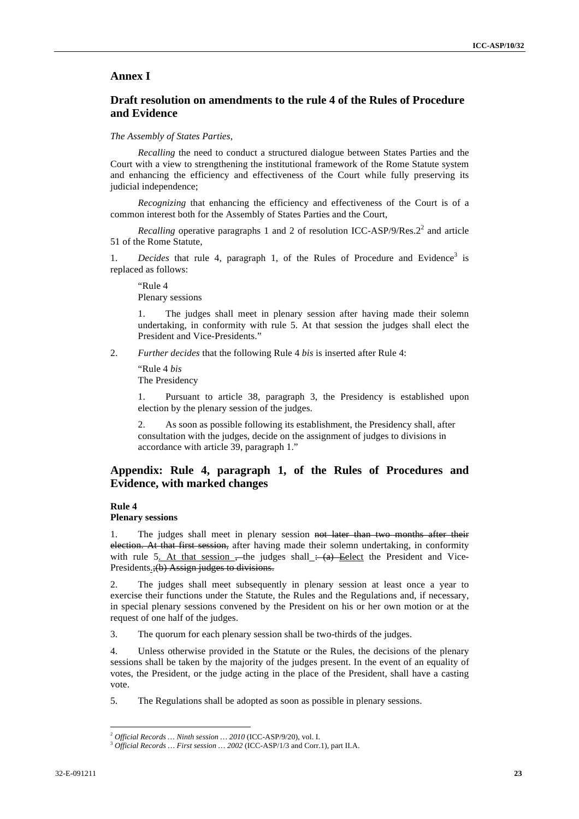#### **Annex I**

### **Draft resolution on amendments to the rule 4 of the Rules of Procedure and Evidence**

#### *The Assembly of States Parties,*

*Recalling* the need to conduct a structured dialogue between States Parties and the Court with a view to strengthening the institutional framework of the Rome Statute system and enhancing the efficiency and effectiveness of the Court while fully preserving its judicial independence;

*Recognizing* that enhancing the efficiency and effectiveness of the Court is of a common interest both for the Assembly of States Parties and the Court,

*Recalling* operative paragraphs 1 and 2 of resolution ICC-ASP/9/Res. $2^2$  and article 51 of the Rome Statute,

1. *Decides* that rule 4, paragraph 1, of the Rules of Procedure and Evidence<sup>3</sup> is replaced as follows:

"Rule 4 Plenary sessions

The judges shall meet in plenary session after having made their solemn undertaking, in conformity with rule 5. At that session the judges shall elect the President and Vice-Presidents."

2. *Further decides* that the following Rule 4 *bis* is inserted after Rule 4:

"Rule 4 *bis* The Presidency

1. Pursuant to article 38, paragraph 3, the Presidency is established upon election by the plenary session of the judges.

2. As soon as possible following its establishment, the Presidency shall, after consultation with the judges, decide on the assignment of judges to divisions in accordance with article 39, paragraph 1."

### **Appendix: Rule 4, paragraph 1, of the Rules of Procedures and Evidence, with marked changes**

### **Rule 4**

#### **Plenary sessions**

1. The judges shall meet in plenary session not later than two months after their election. At that first session, after having made their solemn undertaking, in conformity with rule 5. At that session  $\frac{1}{x}$ -the judges shall  $\frac{1}{x}$ -take Elect the President and Vice-Presidents.;(b) Assign judges to divisions.

2. The judges shall meet subsequently in plenary session at least once a year to exercise their functions under the Statute, the Rules and the Regulations and, if necessary, in special plenary sessions convened by the President on his or her own motion or at the request of one half of the judges.

3. The quorum for each plenary session shall be two-thirds of the judges.

4. Unless otherwise provided in the Statute or the Rules, the decisions of the plenary sessions shall be taken by the majority of the judges present. In the event of an equality of votes, the President, or the judge acting in the place of the President, shall have a casting vote.

5. The Regulations shall be adopted as soon as possible in plenary sessions.

<sup>2</sup> *Official Records … Ninth session … 2010* (ICC-ASP/9/20), vol. I.

<sup>3</sup> *Official Records … First session … 2002* (ICC-ASP/1/3 and Corr.1)*,* part II.A.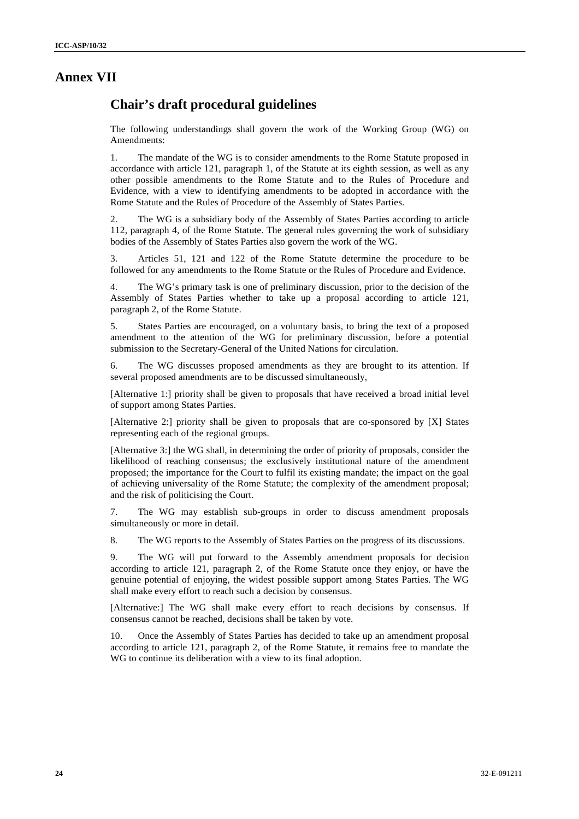# **Annex VII**

# **Chair's draft procedural guidelines**

The following understandings shall govern the work of the Working Group (WG) on Amendments:

1. The mandate of the WG is to consider amendments to the Rome Statute proposed in accordance with article 121, paragraph 1, of the Statute at its eighth session, as well as any other possible amendments to the Rome Statute and to the Rules of Procedure and Evidence, with a view to identifying amendments to be adopted in accordance with the Rome Statute and the Rules of Procedure of the Assembly of States Parties.

2. The WG is a subsidiary body of the Assembly of States Parties according to article 112, paragraph 4, of the Rome Statute. The general rules governing the work of subsidiary bodies of the Assembly of States Parties also govern the work of the WG.

3. Articles 51, 121 and 122 of the Rome Statute determine the procedure to be followed for any amendments to the Rome Statute or the Rules of Procedure and Evidence.

4. The WG's primary task is one of preliminary discussion, prior to the decision of the Assembly of States Parties whether to take up a proposal according to article 121, paragraph 2, of the Rome Statute.

5. States Parties are encouraged, on a voluntary basis, to bring the text of a proposed amendment to the attention of the WG for preliminary discussion, before a potential submission to the Secretary-General of the United Nations for circulation.

6. The WG discusses proposed amendments as they are brought to its attention. If several proposed amendments are to be discussed simultaneously,

[Alternative 1:] priority shall be given to proposals that have received a broad initial level of support among States Parties.

[Alternative 2:] priority shall be given to proposals that are co-sponsored by [X] States representing each of the regional groups.

[Alternative 3:] the WG shall, in determining the order of priority of proposals, consider the likelihood of reaching consensus; the exclusively institutional nature of the amendment proposed; the importance for the Court to fulfil its existing mandate; the impact on the goal of achieving universality of the Rome Statute; the complexity of the amendment proposal; and the risk of politicising the Court.

7. The WG may establish sub-groups in order to discuss amendment proposals simultaneously or more in detail.

8. The WG reports to the Assembly of States Parties on the progress of its discussions.

9. The WG will put forward to the Assembly amendment proposals for decision according to article 121, paragraph 2, of the Rome Statute once they enjoy, or have the genuine potential of enjoying, the widest possible support among States Parties. The WG shall make every effort to reach such a decision by consensus.

[Alternative:] The WG shall make every effort to reach decisions by consensus. If consensus cannot be reached, decisions shall be taken by vote.

10. Once the Assembly of States Parties has decided to take up an amendment proposal according to article 121, paragraph 2, of the Rome Statute, it remains free to mandate the WG to continue its deliberation with a view to its final adoption.